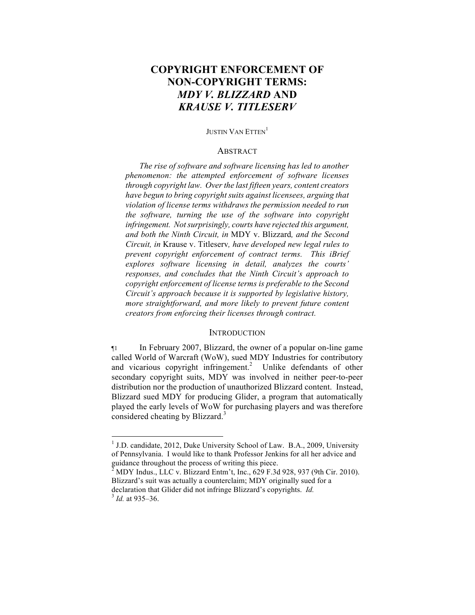# **COPYRIGHT ENFORCEMENT OF NON-COPYRIGHT TERMS:**  *MDY V. BLIZZARD* **AND**  *KRAUSE V. TITLESERV*

#### JUSTIN VAN ETTEN<sup>1</sup>

#### ABSTRACT

*The rise of software and software licensing has led to another phenomenon: the attempted enforcement of software licenses through copyright law. Over the last fifteen years, content creators have begun to bring copyright suits against licensees, arguing that violation of license terms withdraws the permission needed to run the software, turning the use of the software into copyright infringement. Not surprisingly, courts have rejected this argument, and both the Ninth Circuit, in* MDY v. Blizzard*, and the Second Circuit, in* Krause v. Titleserv*, have developed new legal rules to prevent copyright enforcement of contract terms. This iBrief explores software licensing in detail, analyzes the courts' responses, and concludes that the Ninth Circuit's approach to copyright enforcement of license terms is preferable to the Second Circuit's approach because it is supported by legislative history, more straightforward, and more likely to prevent future content creators from enforcing their licenses through contract.*

#### **INTRODUCTION**

¶1 In February 2007, Blizzard, the owner of a popular on-line game called World of Warcraft (WoW), sued MDY Industries for contributory and vicarious copyright infringement.<sup>2</sup> Unlike defendants of other secondary copyright suits, MDY was involved in neither peer-to-peer distribution nor the production of unauthorized Blizzard content. Instead, Blizzard sued MDY for producing Glider, a program that automatically played the early levels of WoW for purchasing players and was therefore considered cheating by Blizzard.<sup>3</sup>

<sup>&</sup>lt;sup>1</sup> J.D. candidate, 2012, Duke University School of Law. B.A., 2009, University of Pennsylvania. I would like to thank Professor Jenkins for all her advice and guidance throughout the process of writing this piece.

<sup>2</sup> MDY Indus., LLC v. Blizzard Entm't, Inc., 629 F.3d 928, 937 (9th Cir. 2010). Blizzard's suit was actually a counterclaim; MDY originally sued for a declaration that Glider did not infringe Blizzard's copyrights. *Id.* <sup>3</sup> *Id.* at 935–36.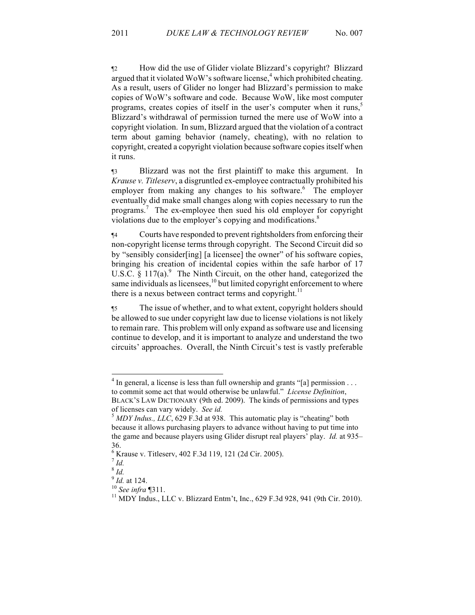¶2 How did the use of Glider violate Blizzard's copyright? Blizzard argued that it violated WoW's software license,<sup>4</sup> which prohibited cheating. As a result, users of Glider no longer had Blizzard's permission to make copies of WoW's software and code. Because WoW, like most computer programs, creates copies of itself in the user's computer when it runs,<sup>5</sup> Blizzard's withdrawal of permission turned the mere use of WoW into a copyright violation. In sum, Blizzard argued that the violation of a contract term about gaming behavior (namely, cheating), with no relation to copyright, created a copyright violation because software copies itself when it runs.

¶3 Blizzard was not the first plaintiff to make this argument. In *Krause v. Titleserv*, a disgruntled ex-employee contractually prohibited his employer from making any changes to his software.<sup>6</sup> The employer eventually did make small changes along with copies necessary to run the programs.<sup>7</sup> The ex-employee then sued his old employer for copyright violations due to the employer's copying and modifications.<sup>8</sup>

¶4 Courts have responded to prevent rightsholders from enforcing their non-copyright license terms through copyright. The Second Circuit did so by "sensibly consider[ing] [a licensee] the owner" of his software copies, bringing his creation of incidental copies within the safe harbor of 17 U.S.C.  $\S$  117(a).<sup>9</sup> The Ninth Circuit, on the other hand, categorized the same individuals as licensees, $^{10}$  but limited copyright enforcement to where there is a nexus between contract terms and copyright. $11$ 

¶5 The issue of whether, and to what extent, copyright holders should be allowed to sue under copyright law due to license violations is not likely to remain rare. This problem will only expand as software use and licensing continue to develop, and it is important to analyze and understand the two circuits' approaches. Overall, the Ninth Circuit's test is vastly preferable

 $4$  In general, a license is less than full ownership and grants "[a] permission ... to commit some act that would otherwise be unlawful." *License Definition*, BLACK'S LAW DICTIONARY (9th ed. 2009). The kinds of permissions and types

of licenses can vary widely. *See id.* <sup>5</sup> *MDY Indus., LLC*, 629 F.3d at 938. This automatic play is "cheating" both because it allows purchasing players to advance without having to put time into the game and because players using Glider disrupt real players' play. *Id.* at 935– 36.

 $^{6}$  Krause v. Titleserv, 402 F.3d 119, 121 (2d Cir. 2005).<br><sup>7</sup> *Id* 

 $\int_{9}^{8}$  *Id.* at 124.

<sup>&</sup>lt;sup>10</sup> *See infra* ¶311.<br><sup>11</sup> MDY Indus., LLC v. Blizzard Entm't, Inc., 629 F.3d 928, 941 (9th Cir. 2010).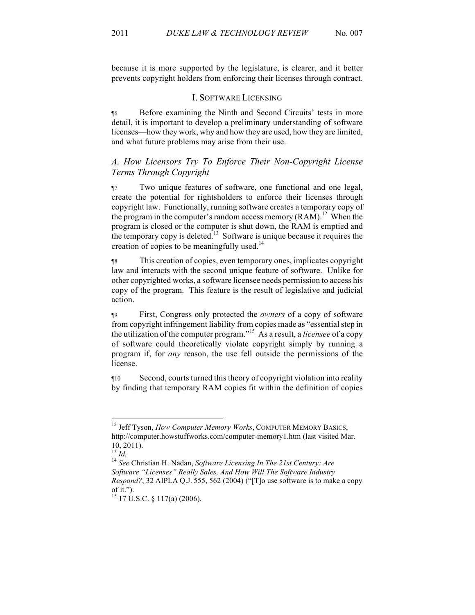because it is more supported by the legislature, is clearer, and it better prevents copyright holders from enforcing their licenses through contract.

#### I. SOFTWARE LICENSING

¶6 Before examining the Ninth and Second Circuits' tests in more detail, it is important to develop a preliminary understanding of software licenses—how they work, why and how they are used, how they are limited, and what future problems may arise from their use.

## *A. How Licensors Try To Enforce Their Non-Copyright License Terms Through Copyright*

¶7 Two unique features of software, one functional and one legal, create the potential for rightsholders to enforce their licenses through copyright law. Functionally, running software creates a temporary copy of the program in the computer's random access memory  $(RAM)^{12}$ . When the program is closed or the computer is shut down, the RAM is emptied and the temporary copy is deleted.<sup>13</sup> Software is unique because it requires the creation of copies to be meaningfully used.<sup>14</sup>

¶8 This creation of copies, even temporary ones, implicates copyright law and interacts with the second unique feature of software. Unlike for other copyrighted works, a software licensee needs permission to access his copy of the program. This feature is the result of legislative and judicial action.

¶9 First, Congress only protected the *owners* of a copy of software from copyright infringement liability from copies made as "essential step in the utilization of the computer program."<sup>15</sup> As a result, a *licensee* of a copy of software could theoretically violate copyright simply by running a program if, for *any* reason, the use fell outside the permissions of the license.

¶10 Second, courts turned this theory of copyright violation into reality by finding that temporary RAM copies fit within the definition of copies

<sup>&</sup>lt;sup>12</sup> Jeff Tyson, *How Computer Memory Works*, COMPUTER MEMORY BASICS, http://computer.howstuffworks.com/computer-memory1.htm (last visited Mar.  $10, 2011$ ).<br> $\frac{13}{1d}$ .

<sup>13</sup> *Id.* <sup>14</sup> *See* Christian H. Nadan, *Software Licensing In The 21st Century: Are Software "Licenses" Really Sales, And How Will The Software Industry Respond?*, 32 AIPLA Q.J. 555, 562 (2004) ("[T]o use software is to make a copy of it.").<br><sup>15</sup> 17 U.S.C. § 117(a) (2006).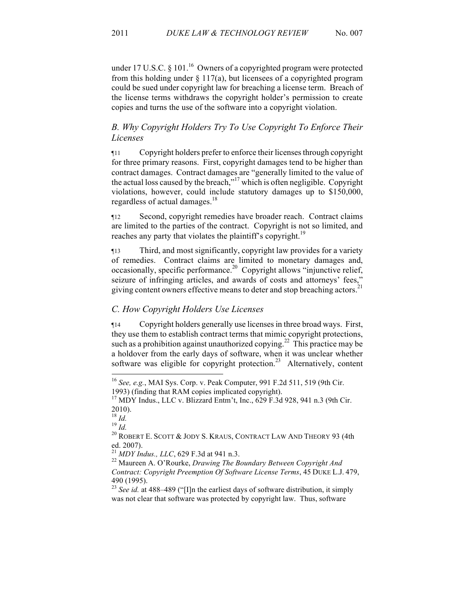# *B. Why Copyright Holders Try To Use Copyright To Enforce Their Licenses*

¶11 Copyright holders prefer to enforce their licenses through copyright for three primary reasons. First, copyright damages tend to be higher than contract damages. Contract damages are "generally limited to the value of the actual loss caused by the breach,"<sup>17</sup> which is often negligible. Copyright violations, however, could include statutory damages up to \$150,000, regardless of actual damages.<sup>18</sup>

¶12 Second, copyright remedies have broader reach. Contract claims are limited to the parties of the contract. Copyright is not so limited, and reaches any party that violates the plaintiff's copyright.<sup>19</sup>

¶13 Third, and most significantly, copyright law provides for a variety of remedies. Contract claims are limited to monetary damages and, occasionally, specific performance.<sup>20</sup> Copyright allows "injunctive relief, seizure of infringing articles, and awards of costs and attorneys' fees," giving content owners effective means to deter and stop breaching actors.<sup>21</sup>

## *C. How Copyright Holders Use Licenses*

¶14 Copyright holders generally use licenses in three broad ways. First, they use them to establish contract terms that mimic copyright protections, such as a prohibition against unauthorized copying.<sup>22</sup> This practice may be a holdover from the early days of software, when it was unclear whether software was eligible for copyright protection.<sup>23</sup> Alternatively, content

 <sup>16</sup> *See, e.g.*, MAI Sys. Corp. v. Peak Computer, 991 F.2d 511, 519 (9th Cir.

<sup>1993) (</sup>finding that RAM copies implicated copyright). <sup>17</sup> MDY Indus., LLC v. Blizzard Entm't, Inc., 629 F.3d 928, 941 n.3 (9th Cir. 2010).<br> $^{18}$  *Id.* 

<sup>18</sup> *Id.* <sup>19</sup> *Id.* <sup>20</sup> ROBERT E. SCOTT & JODY S. KRAUS, CONTRACT LAW AND THEORY 93 (4th ed. 2007).<br><sup>21</sup> MDY Indus., LLC, 629 F.3d at 941 n.3.

<sup>&</sup>lt;sup>22</sup> Maureen A. O'Rourke, *Drawing The Boundary Between Copyright And Contract: Copyright Preemption Of Software License Terms*, 45 DUKE L.J. 479, 490 (1995). <sup>23</sup> *See id.* at 488–489 ("[I]n the earliest days of software distribution, it simply

was not clear that software was protected by copyright law. Thus, software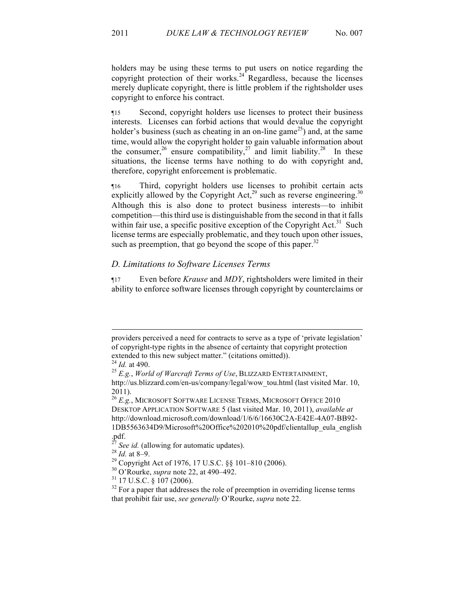holders may be using these terms to put users on notice regarding the copyright protection of their works.<sup>24</sup> Regardless, because the licenses merely duplicate copyright, there is little problem if the rightsholder uses copyright to enforce his contract.

¶15 Second, copyright holders use licenses to protect their business interests. Licenses can forbid actions that would devalue the copyright holder's business (such as cheating in an on-line game<sup>25</sup>) and, at the same time, would allow the copyright holder to gain valuable information about the consumer,<sup>26</sup> ensure compatibility,<sup>27</sup> and limit liability.<sup>28</sup> In these situations, the license terms have nothing to do with copyright and, therefore, copyright enforcement is problematic.

¶16 Third, copyright holders use licenses to prohibit certain acts explicitly allowed by the Copyright Act,<sup>29</sup> such as reverse engineering.<sup>30</sup> Although this is also done to protect business interests—to inhibit competition—this third use is distinguishable from the second in that it falls within fair use, a specific positive exception of the Copyright Act.<sup>31</sup> Such license terms are especially problematic, and they touch upon other issues, such as preemption, that go beyond the scope of this paper.<sup>32</sup>

# *D. Limitations to Software Licenses Terms*

¶17 Even before *Krause* and *MDY*, rightsholders were limited in their ability to enforce software licenses through copyright by counterclaims or

-

providers perceived a need for contracts to serve as a type of 'private legislation' of copyright-type rights in the absence of certainty that copyright protection extended to this new subject matter." (citations omitted)).<br><sup>24</sup> *Id.* at 490.<br><sup>25</sup> *E.g., World of Warcraft Terms of Use*, BLIZZARD ENTERTAINMENT,

http://us.blizzard.com/en-us/company/legal/wow\_tou.html (last visited Mar. 10, 2011).

<sup>26</sup> *E.g.*, MICROSOFT SOFTWARE LICENSE TERMS, MICROSOFT OFFICE 2010 DESKTOP APPLICATION SOFTWARE 5 (last visited Mar. 10, 2011), *available at* http://download.microsoft.com/download/1/6/6/16630C2A-E42E-4A07-BB92- 1DB5563634D9/Microsoft%20Office%202010%20pdf/clientallup\_eula\_english .pdf.<br>
<sup>27</sup> See id. (allowing for automatic updates).<br>
<sup>28</sup> Id. at 8–9.<br>
<sup>29</sup> Copyright Act of 1976, 17 U.S.C. §§ 101–810 (2006).<br>
<sup>30</sup> O'Rourke, *supra* note 22, at 490–492.<br>
<sup>31</sup> 17 U.S.C. § 107 (2006).<br>
<sup>32</sup> For a pape

that prohibit fair use, *see generally* O'Rourke, *supra* note 22.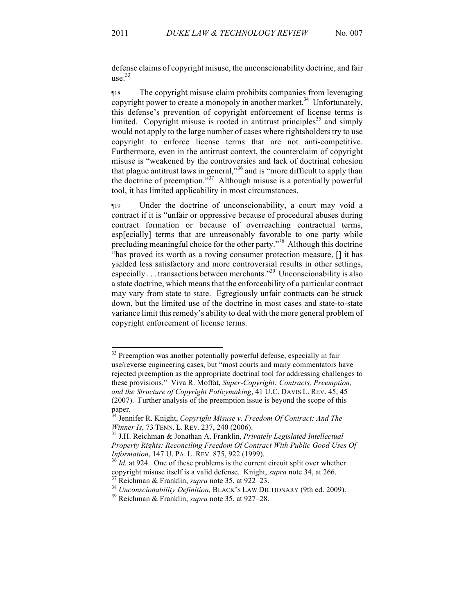defense claims of copyright misuse, the unconscionability doctrine, and fair use.<sup>33</sup>

¶18 The copyright misuse claim prohibits companies from leveraging copyright power to create a monopoly in another market.<sup>34</sup> Unfortunately, this defense's prevention of copyright enforcement of license terms is limited. Copyright misuse is rooted in antitrust principles<sup>35</sup> and simply would not apply to the large number of cases where rightsholders try to use copyright to enforce license terms that are not anti-competitive. Furthermore, even in the antitrust context, the counterclaim of copyright misuse is "weakened by the controversies and lack of doctrinal cohesion that plague antitrust laws in general,"<sup>36</sup> and is "more difficult to apply than the doctrine of preemption."<sup>37</sup> Although misuse is a potentially powerful tool, it has limited applicability in most circumstances.

¶19 Under the doctrine of unconscionability, a court may void a contract if it is "unfair or oppressive because of procedural abuses during contract formation or because of overreaching contractual terms, esp[ecially] terms that are unreasonably favorable to one party while precluding meaningful choice for the other party."<sup>38</sup> Although this doctrine "has proved its worth as a roving consumer protection measure, [] it has yielded less satisfactory and more controversial results in other settings, especially . . . transactions between merchants."39 Unconscionability is also a state doctrine, which means that the enforceability of a particular contract may vary from state to state. Egregiously unfair contracts can be struck down, but the limited use of the doctrine in most cases and state-to-state variance limit this remedy's ability to deal with the more general problem of copyright enforcement of license terms.

<sup>&</sup>lt;sup>33</sup> Preemption was another potentially powerful defense, especially in fair use/reverse engineering cases, but "most courts and many commentators have rejected preemption as the appropriate doctrinal tool for addressing challenges to these provisions." Viva R. Moffat, *Super-Copyright: Contracts, Preemption, and the Structure of Copyright Policymaking*, 41 U.C. DAVIS L. REV. 45, 45 (2007). Further analysis of the preemption issue is beyond the scope of this paper.

<sup>34</sup> Jennifer R. Knight, *Copyright Misuse v. Freedom Of Contract: And The Winner Is, 73 TENN. L. REV. 237, 240 (2006).* <sup>35</sup> J.H. Reichman & Jonathan A. Franklin, *Privately Legislated Intellectual* 

*Property Rights: Reconciling Freedom Of Contract With Public Good Uses Of* 

*Information*, 147 U. PA. L. REV. 875, 922 (1999).<br><sup>36</sup> *Id.* at 924. One of these problems is the current circuit split over whether copyright misuse itself is a valid defense. Knight, *supra* note 34, at 266.

<sup>&</sup>lt;sup>37</sup> Reichman & Franklin, *supra* note 35, at 922–23.<br><sup>38</sup> *Unconscionability Definition*, BLACK'S LAW DICTIONARY (9th ed. 2009).<br><sup>39</sup> Reichman & Franklin, *supra* note 35, at 927–28.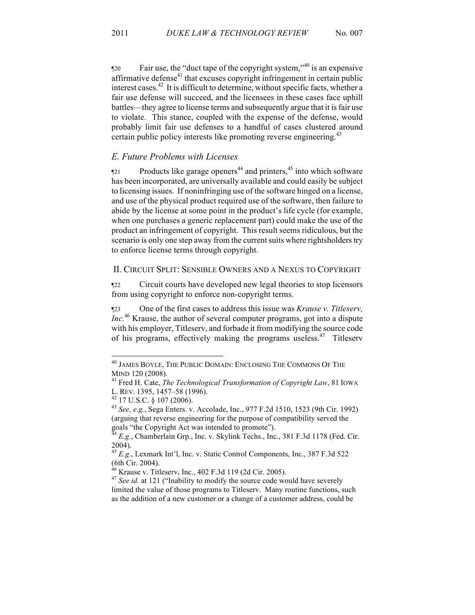¶20 Fair use, the "duct tape of the copyright system,"<sup>40</sup> is an expensive affirmative defense $4$ <sup>1</sup> that excuses copyright infringement in certain public interest cases.<sup>42</sup> It is difficult to determine, without specific facts, whether a fair use defense will succeed, and the licensees in these cases face uphill battles—they agree to license terms and subsequently argue that it is fair use to violate. This stance, coupled with the expense of the defense, would probably limit fair use defenses to a handful of cases clustered around certain public policy interests like promoting reverse engineering.<sup>43</sup>

### *E. Future Problems with Licenses*

 $\gamma$  Products like garage openers<sup>44</sup> and printers,<sup>45</sup> into which software has been incorporated, are universally available and could easily be subject to licensing issues. If noninfringing use of the software hinged on a license, and use of the physical product required use of the software, then failure to abide by the license at some point in the product's life cycle (for example, when one purchases a generic replacement part) could make the use of the product an infringement of copyright. This result seems ridiculous, but the scenario is only one step away from the current suits where rightsholders try to enforce license terms through copyright.

### II. CIRCUIT SPLIT: SENSIBLE OWNERS AND A NEXUS TO COPYRIGHT

¶22 Circuit courts have developed new legal theories to stop licensors from using copyright to enforce non-copyright terms.

¶23 One of the first cases to address this issue was *Krause v. Titleserv, Inc.*<sup>46</sup> Krause, the author of several computer programs, got into a dispute with his employer, Titleserv, and forbade it from modifying the source code of his programs, effectively making the programs useless.<sup>47</sup> Titleserv

 $^{40}$  James Boyle, The Public Domain: Enclosing The Commons Of The Mind 120 (2008).

<sup>&</sup>lt;sup>41</sup> Fred H. Cate, *The Technological Transformation of Copyright Law*, 81 IOWA L. REV. 1395, 1457–58 (1996). <sup>42</sup> 17 U.S.C. § 107 (2006). <sup>43</sup> *See, e.g.*, Sega Enters. v. Accolade, Inc., 977 F.2d 1510, <sup>1523</sup> (9th Cir. 1992)

<sup>(</sup>arguing that reverse engineering for the purpose of compatibility served the

 $^{4}$  *E.g.*, Chamberlain Grp., Inc. v. Skylink Techs., Inc., 381 F.3d 1178 (Fed. Cir.) 2004).

<sup>45</sup> *E.g.*, Lexmark Int'l, Inc. v. Static Control Components, Inc., 387 F.3d 522 (6th Cir. 2004).<br> $^{46}$  Krause v. Titleserv, Inc., 402 F.3d 119 (2d Cir. 2005).

<sup>&</sup>lt;sup>47</sup> See id. at 121 ("Inability to modify the source code would have severely limited the value of those programs to Titleserv. Many routine functions, such as the addition of a new customer or a change of a customer address, could be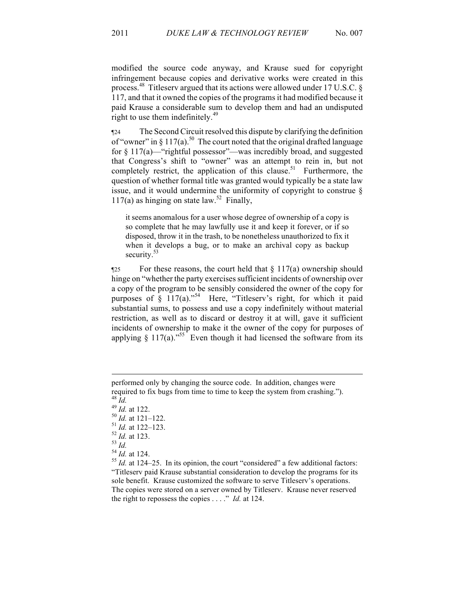modified the source code anyway, and Krause sued for copyright infringement because copies and derivative works were created in this process.<sup>48</sup> Titleserv argued that its actions were allowed under 17 U.S.C.  $\delta$ 117, and that it owned the copies of the programs it had modified because it paid Krause a considerable sum to develop them and had an undisputed right to use them indefinitely.<sup>49</sup>

¶24 The Second Circuit resolved this dispute by clarifying the definition of "owner" in § 117(a).<sup>50</sup> The court noted that the original drafted language for § 117(a)—"rightful possessor"—was incredibly broad, and suggested that Congress's shift to "owner" was an attempt to rein in, but not completely restrict, the application of this clause.<sup>51</sup> Furthermore, the question of whether formal title was granted would typically be a state law issue, and it would undermine the uniformity of copyright to construe § 117(a) as hinging on state law.<sup>52</sup> Finally,

it seems anomalous for a user whose degree of ownership of a copy is so complete that he may lawfully use it and keep it forever, or if so disposed, throw it in the trash, to be nonetheless unauthorized to fix it when it develops a bug, or to make an archival copy as backup security. $5$ 

 $\frac{1}{25}$  For these reasons, the court held that  $\S 117(a)$  ownership should hinge on "whether the party exercises sufficient incidents of ownership over a copy of the program to be sensibly considered the owner of the copy for purposes of  $\hat{\S}$  117(a)."<sup>54</sup> Here, "Titleserv's right, for which it paid substantial sums, to possess and use a copy indefinitely without material restriction, as well as to discard or destroy it at will, gave it sufficient incidents of ownership to make it the owner of the copy for purposes of applying  $\S 117(a)$ ."<sup>55</sup> Even though it had licensed the software from its

<u>.</u>

- 
- 

performed only by changing the source code. In addition, changes were required to fix bugs from time to time to keep the system from crashing.").<br>
<sup>48</sup> *Id.*<br>
<sup>49</sup> *Id.* at 122.<br>
<sup>50</sup> *Id.* at 121–122.<br>
<sup>51</sup> *Id.* at 122–123.<br>
<sup>52</sup> *Id.* at 123.<br>
<sup>54</sup> *Id.* at 124.<br>
<sup>54</sup> *Id.* at 124.<br>
<sup>55</sup>

<sup>&</sup>quot;Titleserv paid Krause substantial consideration to develop the programs for its sole benefit. Krause customized the software to serve Titleserv's operations. The copies were stored on a server owned by Titleserv. Krause never reserved the right to repossess the copies . . . ." *Id.* at 124.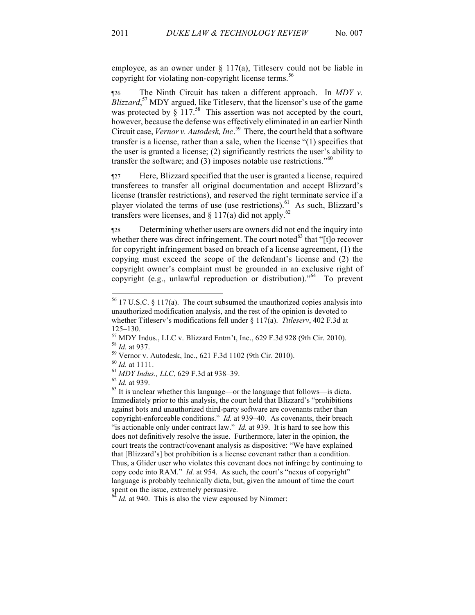employee, as an owner under  $\S$  117(a), Titleserv could not be liable in copyright for violating non-copyright license terms.<sup>56</sup>

¶26 The Ninth Circuit has taken a different approach. In *MDY v. Blizzard*,<sup>57</sup> MDY argued, like Titleserv, that the licensor's use of the game was protected by  $\zeta$  117.<sup>58</sup> This assertion was not accepted by the court, however, because the defense was effectively eliminated in an earlier Ninth Circuit case, *Vernor v. Autodesk, Inc*. <sup>59</sup> There, the court held that a software transfer is a license, rather than a sale, when the license "(1) specifies that the user is granted a license; (2) significantly restricts the user's ability to transfer the software; and (3) imposes notable use restrictions." 60

¶27 Here, Blizzard specified that the user is granted a license, required transferees to transfer all original documentation and accept Blizzard's license (transfer restrictions), and reserved the right terminate service if a player violated the terms of use (use restrictions).<sup>61</sup> As such, Blizzard's transfers were licenses, and  $\S 117(a)$  did not apply.<sup>62</sup>

¶28 Determining whether users are owners did not end the inquiry into whether there was direct infringement. The court noted $^{63}$  that "[t]o recover for copyright infringement based on breach of a license agreement, (1) the copying must exceed the scope of the defendant's license and (2) the copyright owner's complaint must be grounded in an exclusive right of copyright (e.g., unlawful reproduction or distribution)."64 To prevent

 <sup>56</sup> 17 U.S.C. § 117(a). The court subsumed the unauthorized copies analysis into unauthorized modification analysis, and the rest of the opinion is devoted to whether Titleserv's modifications fell under § 117(a). *Titleserv*, 402 F.3d at

<sup>125–130.&</sup>lt;br>
<sup>57</sup> MDY Indus., LLC v. Blizzard Entm't, Inc., 629 F.3d 928 (9th Cir. 2010).<br>
<sup>58</sup> *Id.* at 937.<br>
<sup>59</sup> Vernor v. Autodesk, Inc., 621 F.3d 1102 (9th Cir. 2010).<br>
<sup>60</sup> *Id.* at 1111.<br>
<sup>61</sup> MDY Indus., LLC, 629 F.3

Immediately prior to this analysis, the court held that Blizzard's "prohibitions against bots and unauthorized third-party software are covenants rather than copyright-enforceable conditions." *Id.* at 939–40. As covenants, their breach "is actionable only under contract law." *Id.* at 939. It is hard to see how this does not definitively resolve the issue. Furthermore, later in the opinion, the court treats the contract/covenant analysis as dispositive: "We have explained that [Blizzard's] bot prohibition is a license covenant rather than a condition. Thus, a Glider user who violates this covenant does not infringe by continuing to copy code into RAM." *Id.* at 954. As such, the court's "nexus of copyright" language is probably technically dicta, but, given the amount of time the court spent on the issue, extremely persuasive.

<sup>&</sup>lt;sup>64</sup> *Id.* at 940. This is also the view espoused by Nimmer: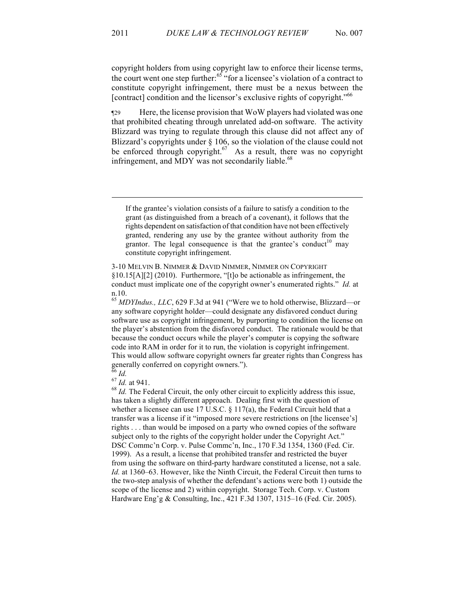<u>.</u>

¶29 Here, the license provision that WoW players had violated was one that prohibited cheating through unrelated add-on software. The activity Blizzard was trying to regulate through this clause did not affect any of Blizzard's copyrights under § 106, so the violation of the clause could not be enforced through copyright.<sup>67</sup> As a result, there was no copyright infringement, and MDY was not secondarily liable.<sup>68</sup>

If the grantee's violation consists of a failure to satisfy a condition to the grant (as distinguished from a breach of a covenant), it follows that the rights dependent on satisfaction of that condition have not been effectively granted, rendering any use by the grantee without authority from the grantor. The legal consequence is that the grantee's conduct<sup>10</sup> may constitute copyright infringement.

3-10 MELVIN B. NIMMER & DAVID NIMMER, NIMMER ON COPYRIGHT §10.15[A][2] (2010). Furthermore, "[t]o be actionable as infringement, the conduct must implicate one of the copyright owner's enumerated rights." *Id.* at n.10.

<sup>65</sup> *MDYIndus., LLC*, 629 F.3d at 941 ("Were we to hold otherwise, Blizzard—or any software copyright holder—could designate any disfavored conduct during software use as copyright infringement, by purporting to condition the license on the player's abstention from the disfavored conduct. The rationale would be that because the conduct occurs while the player's computer is copying the software code into RAM in order for it to run, the violation is copyright infringement. This would allow software copyright owners far greater rights than Congress has generally conferred on copyright owners.").<br> $^{66}$  *Id.* 

<sup>67</sup> *Id.* at 941.<br><sup>68</sup> *Id.* The Federal Circuit, the only other circuit to explicitly address this issue, has taken a slightly different approach. Dealing first with the question of whether a licensee can use 17 U.S.C. § 117(a), the Federal Circuit held that a transfer was a license if it "imposed more severe restrictions on [the licensee's] rights . . . than would be imposed on a party who owned copies of the software subject only to the rights of the copyright holder under the Copyright Act." DSC Commc'n Corp. v. Pulse Commc'n, Inc., 170 F.3d 1354, 1360 (Fed. Cir. 1999). As a result, a license that prohibited transfer and restricted the buyer from using the software on third-party hardware constituted a license, not a sale. *Id.* at 1360–63. However, like the Ninth Circuit, the Federal Circuit then turns to the two-step analysis of whether the defendant's actions were both 1) outside the scope of the license and 2) within copyright. Storage Tech. Corp. v. Custom Hardware Eng'g & Consulting, Inc., 421 F.3d 1307, 1315–16 (Fed. Cir. 2005).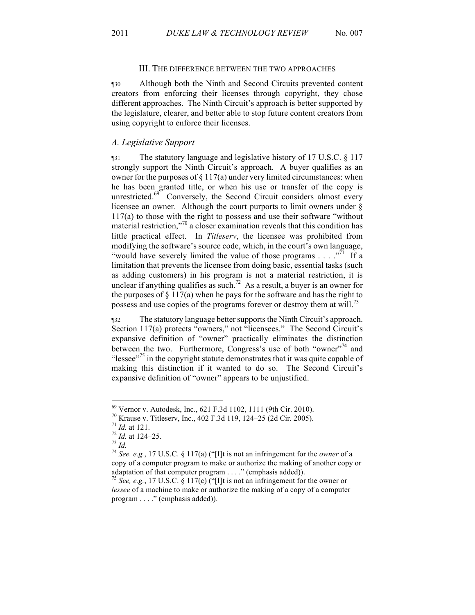#### III. THE DIFFERENCE BETWEEN THE TWO APPROACHES

¶30 Although both the Ninth and Second Circuits prevented content creators from enforcing their licenses through copyright, they chose different approaches. The Ninth Circuit's approach is better supported by the legislature, clearer, and better able to stop future content creators from using copyright to enforce their licenses.

### *A. Legislative Support*

¶31 The statutory language and legislative history of 17 U.S.C. § 117 strongly support the Ninth Circuit's approach. A buyer qualifies as an owner for the purposes of  $\S 117(a)$  under very limited circumstances: when he has been granted title, or when his use or transfer of the copy is unrestricted.<sup>69</sup> Conversely, the Second Circuit considers almost every licensee an owner. Although the court purports to limit owners under § 117(a) to those with the right to possess and use their software "without material restriction,"<sup>70</sup> a closer examination reveals that this condition has little practical effect. In *Titleserv*, the licensee was prohibited from modifying the software's source code, which, in the court's own language, "would have severely limited the value of those programs  $\dots$ ."<sup>71</sup> If a limitation that prevents the licensee from doing basic, essential tasks (such as adding customers) in his program is not a material restriction, it is unclear if anything qualifies as such.<sup>72</sup> As a result, a buyer is an owner for the purposes of  $\S 117(a)$  when he pays for the software and has the right to possess and use copies of the programs forever or destroy them at will.<sup>73</sup>

¶32 The statutory language better supports the Ninth Circuit's approach. Section 117(a) protects "owners," not "licensees." The Second Circuit's expansive definition of "owner" practically eliminates the distinction between the two. Furthermore, Congress's use of both "owner"<sup>74</sup> and "lessee"<sup> $75$ </sup> in the copyright statute demonstrates that it was quite capable of making this distinction if it wanted to do so. The Second Circuit's expansive definition of "owner" appears to be unjustified.

<sup>&</sup>lt;sup>69</sup> Vernor v. Autodesk, Inc., 621 F.3d 1102, 1111 (9th Cir. 2010).<br><sup>70</sup> Krause v. Titleserv, Inc., 402 F.3d 119, 124–25 (2d Cir. 2005).<br><sup>71</sup> *Id.* at 121.<br><sup>72</sup> *Id.* at 124–25.<br><sup>73</sup> *Id.*<br><sup>74</sup> *See, e.g.*, 17 U.S.C. § 11 copy of a computer program to make or authorize the making of another copy or adaptation of that computer program . . . ." (emphasis added)).<br><sup>75</sup> *See, e.g.*, 17 U.S.C. § 117(c) ("[I]t is not an infringement for the owner or

*lessee* of a machine to make or authorize the making of a copy of a computer program . . . ." (emphasis added)).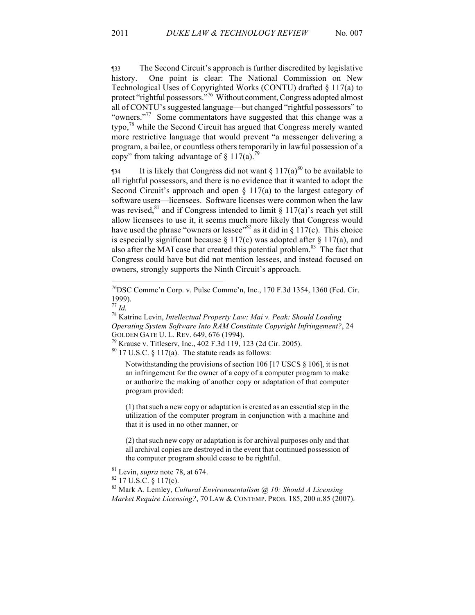¶33 The Second Circuit's approach is further discredited by legislative history. One point is clear: The National Commission on New Technological Uses of Copyrighted Works (CONTU) drafted § 117(a) to protect "rightful possessors."<sup>76</sup> Without comment, Congress adopted almost all of CONTU's suggested language—but changed "rightful possessors" to "owners."<sup>77</sup> Some commentators have suggested that this change was a typo,<sup>78</sup> while the Second Circuit has argued that Congress merely wanted more restrictive language that would prevent "a messenger delivering a program, a bailee, or countless others temporarily in lawful possession of a copy" from taking advantage of  $\S 117(a)$ .<sup>79</sup>

 $\frac{1}{3}$  It is likely that Congress did not want § 117(a)<sup>80</sup> to be available to all rightful possessors, and there is no evidence that it wanted to adopt the Second Circuit's approach and open  $\S 117(a)$  to the largest category of software users—licensees. Software licenses were common when the law was revised,<sup>81</sup> and if Congress intended to limit § 117(a)'s reach yet still allow licensees to use it, it seems much more likely that Congress would have used the phrase "owners or lessee"<sup>82</sup> as it did in § 117(c). This choice is especially significant because  $\S 117(c)$  was adopted after  $\S 117(a)$ , and also after the MAI case that created this potential problem.<sup>83</sup> The fact that Congress could have but did not mention lessees, and instead focused on owners, strongly supports the Ninth Circuit's approach.

Notwithstanding the provisions of section 106 [17 USCS § 106], it is not an infringement for the owner of a copy of a computer program to make or authorize the making of another copy or adaptation of that computer program provided:

(1) that such a new copy or adaptation is created as an essential step in the utilization of the computer program in conjunction with a machine and that it is used in no other manner, or

(2) that such new copy or adaptation is for archival purposes only and that all archival copies are destroyed in the event that continued possession of the computer program should cease to be rightful.

<sup>81</sup> Levin, *supra* note 78, at 674. <sup>82</sup> 17 U.S.C. § 117(c). <sup>83</sup> Mark A. Lemley, *Cultural Environmentalism @ 10: Should A Licensing Market Require Licensing?*, 70 LAW & CONTEMP. PROB. 185, 200 n.85 (2007).

 <sup>76</sup>DSC Commc'n Corp. v. Pulse Commc'n, Inc., 170 F.3d 1354, 1360 (Fed. Cir. 1999).<br> $^{77}$  *Id.* 

<sup>&</sup>lt;sup>78</sup> Katrine Levin, *Intellectual Property Law: Mai v. Peak: Should Loading Operating System Software Into RAM Constitute Copyright Infringement?*, 24 GOLDEN GATE U. L. REV. 649, 676 (1994).<br><sup>79</sup> Krause v. Titleserv, Inc., 402 F.3d 119, 123 (2d Cir. 2005).<br><sup>80</sup> 17 U.S.C. § 117(a). The statute reads as follows: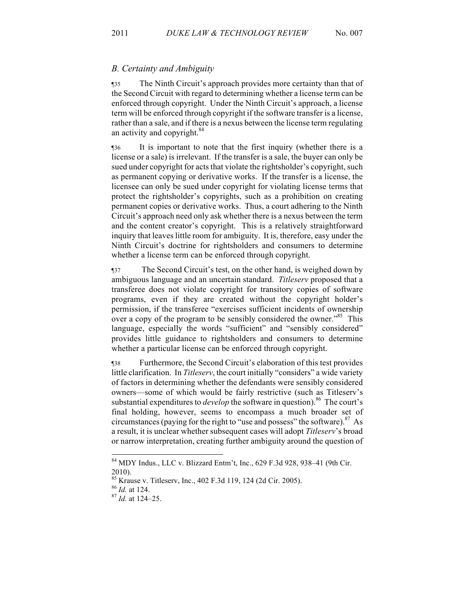### *B. Certainty and Ambiguity*

¶35 The Ninth Circuit's approach provides more certainty than that of the Second Circuit with regard to determining whether a license term can be enforced through copyright. Under the Ninth Circuit's approach, a license term will be enforced through copyright if the software transfer is a license, rather than a sale, and if there is a nexus between the license term regulating an activity and copyright.<sup>84</sup>

¶36 It is important to note that the first inquiry (whether there is a license or a sale) is irrelevant. If the transfer is a sale, the buyer can only be sued under copyright for acts that violate the rightsholder's copyright, such as permanent copying or derivative works. If the transfer is a license, the licensee can only be sued under copyright for violating license terms that protect the rightsholder's copyrights, such as a prohibition on creating permanent copies or derivative works. Thus, a court adhering to the Ninth Circuit's approach need only ask whether there is a nexus between the term and the content creator's copyright. This is a relatively straightforward inquiry that leaves little room for ambiguity. It is, therefore, easy under the Ninth Circuit's doctrine for rightsholders and consumers to determine whether a license term can be enforced through copyright.

¶37 The Second Circuit's test, on the other hand, is weighed down by ambiguous language and an uncertain standard. *Titleserv* proposed that a transferee does not violate copyright for transitory copies of software programs, even if they are created without the copyright holder's permission, if the transferee "exercises sufficient incidents of ownership over a copy of the program to be sensibly considered the owner.<sup>85</sup> This language, especially the words "sufficient" and "sensibly considered" provides little guidance to rightsholders and consumers to determine whether a particular license can be enforced through copyright.

¶38 Furthermore, the Second Circuit's elaboration of this test provides little clarification. In *Titleserv*, the court initially "considers" a wide variety of factors in determining whether the defendants were sensibly considered owners—some of which would be fairly restrictive (such as Titleserv's substantial expenditures to *develop* the software in question).<sup>86</sup> The court's final holding, however, seems to encompass a much broader set of circumstances (paying for the right to "use and possess" the software).<sup>87</sup> As a result, it is unclear whether subsequent cases will adopt *Titleserv*'s broad or narrow interpretation, creating further ambiguity around the question of

 <sup>84</sup> MDY Indus., LLC v. Blizzard Entm't, Inc., 629 F.3d 928, 938–41 (9th Cir. 2010).

<sup>85</sup> Krause v. Titleserv, Inc., 402 F.3d 119, 124 (2d Cir. 2005). 86 *Id.* at 124. <sup>87</sup> *Id.* at 124–25.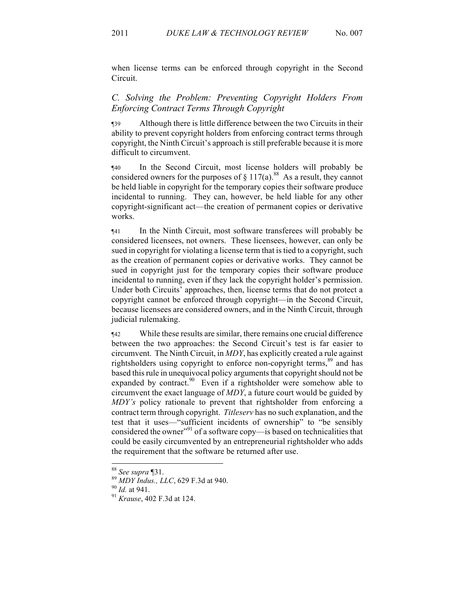when license terms can be enforced through copyright in the Second Circuit.

# *C. Solving the Problem: Preventing Copyright Holders From Enforcing Contract Terms Through Copyright*

¶39 Although there is little difference between the two Circuits in their ability to prevent copyright holders from enforcing contract terms through copyright, the Ninth Circuit's approach is still preferable because it is more difficult to circumvent.

¶40 In the Second Circuit, most license holders will probably be considered owners for the purposes of  $\S 117(a)$ .<sup>88</sup> As a result, they cannot be held liable in copyright for the temporary copies their software produce incidental to running. They can, however, be held liable for any other copyright-significant act—the creation of permanent copies or derivative works.

¶41 In the Ninth Circuit, most software transferees will probably be considered licensees, not owners. These licensees, however, can only be sued in copyright for violating a license term that is tied to a copyright, such as the creation of permanent copies or derivative works. They cannot be sued in copyright just for the temporary copies their software produce incidental to running, even if they lack the copyright holder's permission. Under both Circuits' approaches, then, license terms that do not protect a copyright cannot be enforced through copyright—in the Second Circuit, because licensees are considered owners, and in the Ninth Circuit, through judicial rulemaking.

¶42 While these results are similar, there remains one crucial difference between the two approaches: the Second Circuit's test is far easier to circumvent. The Ninth Circuit, in *MDY*, has explicitly created a rule against rightsholders using copyright to enforce non-copyright terms.<sup>89</sup> and has based this rule in unequivocal policy arguments that copyright should not be expanded by contract. $90$  Even if a rightsholder were somehow able to circumvent the exact language of *MDY*, a future court would be guided by *MDY's* policy rationale to prevent that rightsholder from enforcing a contract term through copyright. *Titleserv* has no such explanation, and the test that it uses—"sufficient incidents of ownership" to "be sensibly considered the owner<sup>"91</sup> of a software copy—is based on technicalities that could be easily circumvented by an entrepreneurial rightsholder who adds the requirement that the software be returned after use.

<sup>88</sup> *See supra* ¶31. <sup>89</sup> *MDY Indus., LLC*, 629 F.3d at 940. <sup>90</sup> *Id.* at 941. <sup>91</sup> *Krause*, 402 F.3d at 124.